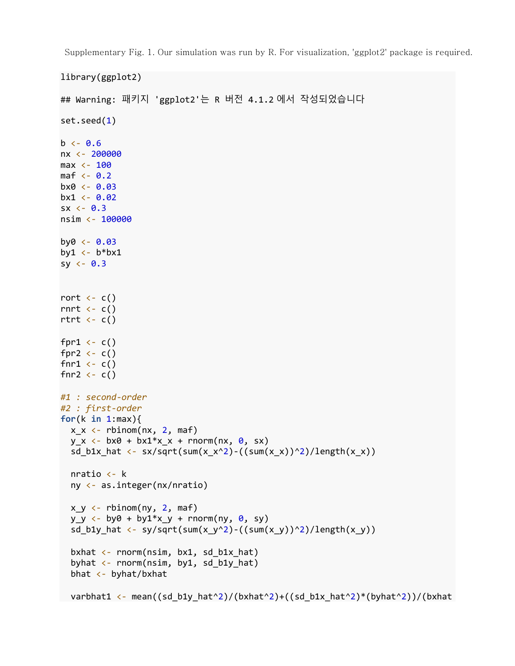Supplementary Fig. 1. Our simulation was run by R. For visualization, 'ggplot2' package is required.

```
library(ggplot2)
## Warning: 패키지 'ggplot2'는 R 버전 4.1.2 에서 작성되었습니다
set.seed(1)
b \leftarrow 0.6nx <- 200000
max <- 100
maf <-0.2b \times 0 \leftarrow 0.03bx1 \leftarrow 0.02sx < -0.3nsim <- 100000
b\nu0 < -0.03by1 \leftarrow b*bx1
sy <-0.3rort \leftarrow c()
rnrt \leftarrow c()
rtrt \leftarrow c()
fpr1 \leftarrow c()
fpr2 \leftarrow c()
fnr1 \leftarrow c()
fnr2 \leftarrow c()
#1 : second-order
#2 : first-order
for(k in 1:max){
  x_x < - rbinom(nx, 2, maf)
  y_x \leftarrow bx0 + bx1*x_x + rnorm(nx, 0, sx)sd_b1x_hat <- sx/sqrt(sum(x_x^2)-((sum(x_x))^2)/length(x_x))
   nratio <- k
   ny <- as.integer(nx/nratio) 
  x, y \leftarrow rbinom(ny, 2, maf)
  y_y \leftarrow by0 + by1*x_y + \text{norm}(ny, 0, sy)sd b1y hat \leftarrow sy/sqrt(sum(x y^2)-((sum(x y))^2)/length(x y))
  bxhat \leftarrow rnorm(nsim, bx1, sd_b1x_hat)
  byhat \leftarrow rnorm(nsim, by1, sd b1y hat)
  bhat \leftarrow byhat/bxhat
  varbhat1 <- mean((sd_b1y_hat^2)/(bxhat^2)+((sd_b1x_hat^2)*(byhat^2))/(bxhat
```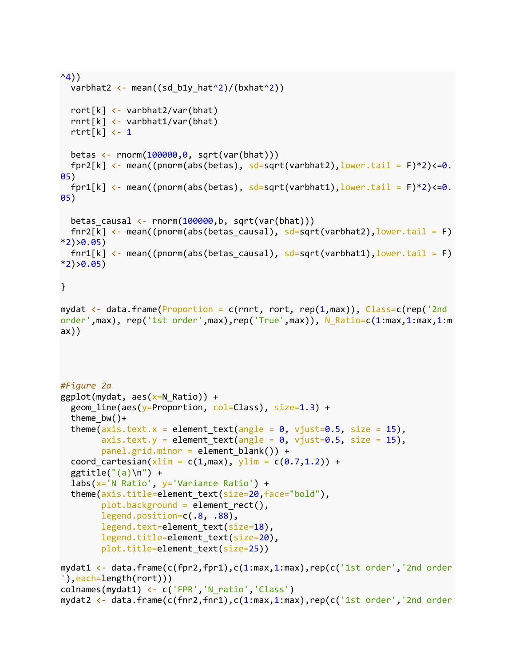```
^{\wedge}4))
  varbhat2 <- mean((sd_b1y_hat^2)/(bxhat^2))
   rort[k] <- varbhat2/var(bhat)
   rnrt[k] <- varbhat1/var(bhat)
   rtrt[k] <- 1
  betas \leftarrow rnorm(100000,0, sqrt(var(bhat)))
  fpr2[k] \leftarrow mean((pnorm(abs(betas), sd=sqrt(varbhat2), lower.tail = F)*2)<=0.
05)
  fpr1[k] \left\langle \cdot \right\rangle mean((pnorm(abs(betas), sd=sqrt(varbhat1), lower.tail = F)*2)\left\langle \cdot \right\rangle05) 
  betas_causal <- rnorm(100000, b, sqrt(var(bhat)))fnr2[k] <- mean((pnorm(abs(betas_causal), sd=sqrt(varbhat2), lower.tail = F)
*2)>0.05)
  fnr1[k] \left\langle \cdot \right\rangle mean((pnorm(abs(betas causal), sd=sqrt(varbhat1), lower.tail = F)
*2)>0.05)}
mydat \langle- data.frame(Proportion = c(rnrt, rort, rep(1,max)), Class=c(rep('2nd
order',max), rep('1st order',max),rep('True',max)), N_Ratio=c(1:max,1:max,1:m
ax))
#Figure 2a
ggplot(mydat, aes(x=N_Ratio)) +geom line(aes(y=Proportion, col=Class), size=1.3) +
  theme bw() +theme(axis.text.x = element text(angle = 0, vjust=0.5, size = 15),
        axis.text.y = element text(angle = 0, vjust=0.5, size = 15),
         panel.grid.minor = element_blank()) +
  coord_cartesian(xlim = c(1, max), ylim = c(0.7, 1.2)) +
  ggtitle("(a)\n\{n"\} +
   labs(x='N Ratio', y='Variance Ratio') +
  theme(axis.title=element text(size=20,face="bold"),
        plot.background = element rect(), legend.position=c(.8, .88),
         legend.text=element_text(size=18),
         legend.title=element_text(size=20),
         plot.title=element_text(size=25))
mydat1 <- data.frame(c(fpr2,fpr1),c(1:max,1:max),rep(c('1st order','2nd order
'),each=length(rort)))
colnames(mydat1) <- c('FPR','N_ratio','Class')
mydat2 <- data.frame(c(fnr2,fnr1),c(1:max,1:max),rep(c('1st order','2nd order
```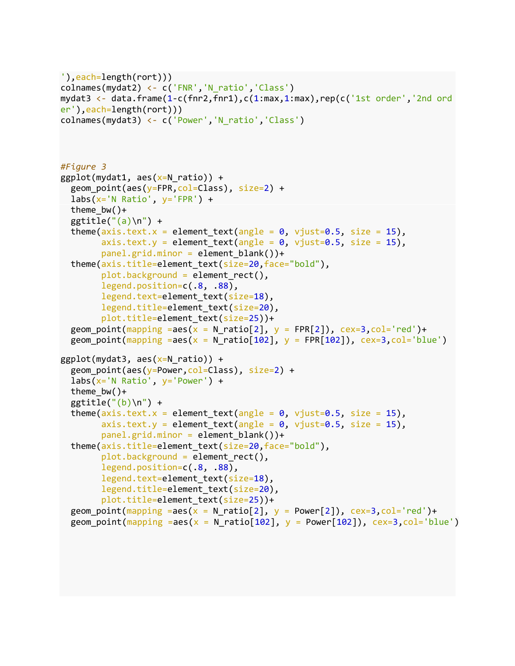```
'),each=length(rort)))
colnames(mydat2) <- c('FNR','N_ratio','Class')
mydat3 <- data.frame(1-c(fnr2,fnr1),c(1:max,1:max),rep(c('1st order','2nd ord
er'),each=length(rort)))
colnames(mydat3) <- c('Power','N_ratio','Class')
#Figure 3
ggplot(mydat1, aes(x=N_ratio)) +geom point(aes(y=FPR,col=Class), size=2) +
  \text{labs}(x='N \text{ Ratio}', y='FPR') +theme bw() +ggtitle("(a)\n\') +
  theme(axis.text.x = element_text(angle = 0, vjust=0.5, size = 15),
        axis.text.y = element_text(angle = 0, vjust=0.5, size = 15),
        panel.grid.minor = element blank())+
  theme(axis.title=element text(size=20,face="bold"),
         plot.background = element_rect(),
         legend.position=c(.8, .88),
        legend.text=element text(size=18),
         legend.title=element_text(size=20),
         plot.title=element_text(size=25))+
  geom_point(mapping =aes(x = N_ratio[2], y = FPR[2]), cex=3, col='red')+
  geom point(mapping =aes(x = N ratio[102], y = FPR[102]), cex=3,col='blue')
ggplot(mydat3, aes(x=N ratio)) +
  geom point(aes(y=Power,col=Class), size=2) +
  \text{labs}(x='N \text{ Ratio}', y='Power') + theme_bw()+
  ggtitle("(b)\n\n\') +
  theme(axis.text.x = element text(angle = 0, vjust=0.5, size = 15),
        axis.text.y = element\_text(name = 0, vjust=0.5, size = 15), panel.grid.minor = element_blank())+
  theme(axis.title=element text(size=20,face="bold"),
         plot.background = element_rect(),
         legend.position=c(.8, .88),
        legend.text=element text(size=18),
        legend.title=element text(size=20),
        plot.title=element text(size=25))+
  geom point(mapping =aes(x = N ratio[2], y = Power[2]), cex=3,col='red')+
  geom_point(mapping =aes(x = N_{relio}[102], y = Power[102]), cex=3, col='blue')
```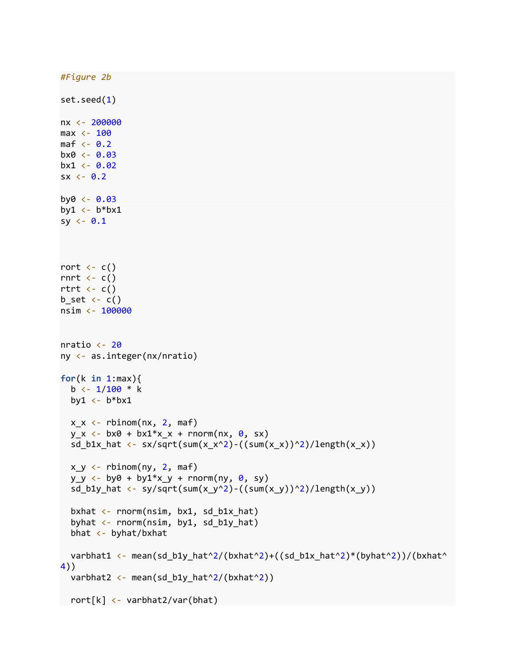```
#Figure 2b
set.seed(1)
nx <- 200000
max < -100maf \leftarrow 0.2
b \times 0 \leftarrow 0.03bx1 < -0.02sx < -0.2by0 \leftarrow 0.03by1 \leftarrow b^*bx\mathbf{1}sy < -0.1rort \leftarrow c()
rnrt \leftarrow c()
rtrt \leftarrow c()
b_set \leftarrow c()
nsim <- 100000
nratio \leftarrow 20
ny <- as.integer(nx/nratio) 
for(k in 1:max){
  b \leftarrow 1/100 * kby1 \leftarrow b*bx1
  x \times \leftarrow rbinom(nx, 2, maf)
  y_x \leftarrow bx0 + bx1*x_x + rnorm(nx, 0, sx)sd_b1x_hat <- sx/sqrt(sum(x_x^2)-((sum(x_x))^2)/length(x_x))
  x_y \leftarrow rbinom(ny, 2, maf)
  y_y \leftarrow by0 + by1*x_y + rnorm(ny, 0, sy)sd_b1y_hat <- sy/sqrt(sum(x_y^2)-((sum(x_y))^2)/length(x_y))
  bxhat \leftarrow rnorm(nsim, bx1, sd_b1x_hat)
   byhat <- rnorm(nsim, by1, sd_b1y_hat)
   bhat <- byhat/bxhat
  varbhat1 <- mean(sd_b1y_hat^2/(bxhat^2)+((sd_b1x_hat^2)*(byhat^2))/(bxhat^
4))
  varbhat2 <- mean(sd_b1y_hat^2/(bxhat^2))
   rort[k] <- varbhat2/var(bhat)
```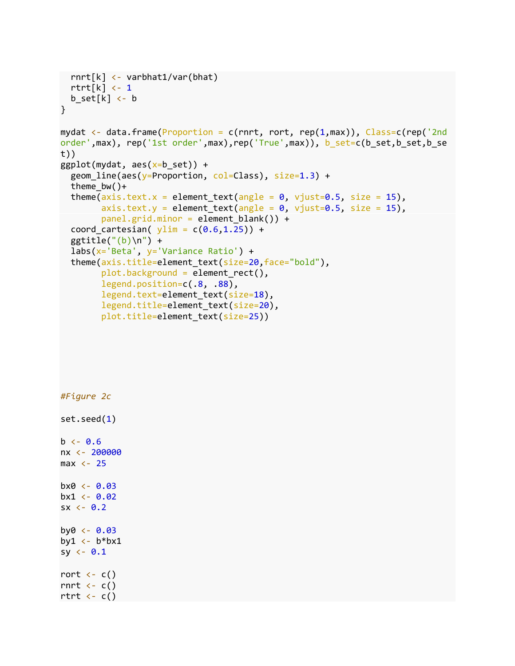```
 rnrt[k] <- varbhat1/var(bhat)
  rtrt[k] < -1b_set[k] <- b
}
mydat \langle \cdot \rangle data.frame(Proportion = c(rnrt, rort, rep(1,max)), Class=c(rep('2nd
order',max), rep('1st order',max),rep('True',max)), b_set=c(b_set,b_set,b_se
t))
ggplot(mydat, aes(x=b_set)) + geom_line(aes(y=Proportion, col=Class), size=1.3) +
  theme bw() +theme(axis.text.x = element text(angle = 0, vjust=0.5, size = 15),
        axis.text.y = element\_text(name = 0, vjust=0.5, size = 15),panel.grid.minor = element blank()) +coord_cartesian(ylim = c(0.6, 1.25)) +
  ggtitle("(b)\n\') +
   labs(x='Beta', y='Variance Ratio') +
  theme(axis.title=element text(size=20,face="bold"),
         plot.background = element_rect(),
         legend.position=c(.8, .88),
         legend.text=element_text(size=18),
         legend.title=element_text(size=20),
         plot.title=element_text(size=25))
```
*#Figure 2c* set.seed(1)  $b \le -0.6$ nx <- 200000  $max < -25$  $b \times 0 \leftarrow 0.03$  $bx1 < -0.02$  $sx < -0.2$ by $0 \leftarrow 0.03$ by1  $\leftarrow$  b\*bx1 sy  $\leftarrow 0.1$ rort  $\leftarrow$  c() rnrt  $\leftarrow$  c() rtrt  $\leftarrow$  c()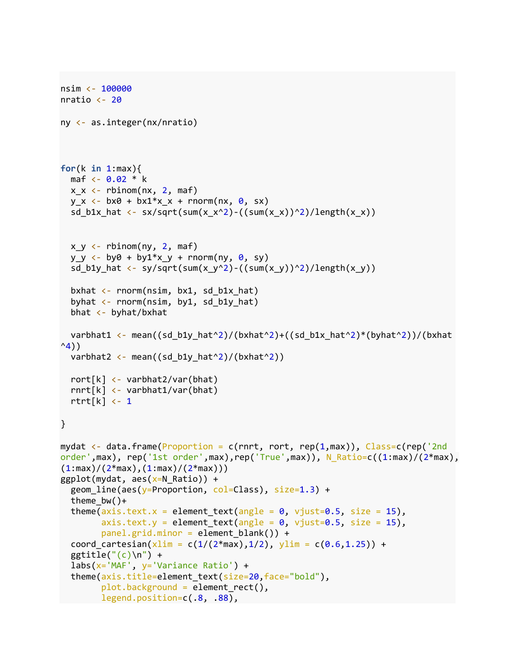```
nsim <- 100000
nratio \leftarrow 20
ny <- as.integer(nx/nratio) 
for(k in 1:max){
  maf <- 0.02 * k
  x_x \leftarrow rbinom(nx, 2, maf)
  y_x \leftarrow bx0 + bx1*x_x + rnorm(nx, 0, sx)sd_b1x_hat <- sx/sqrt(sum(x_x^2)-((sum(x_x))^2)/length(x_x))
  x_y \leftarrow rbinom(ny, 2, maf)
  y_y \leftarrow by0 + by1*x_y + rnorm(ny, 0, sy)sd_b1y_hat <- sy/sqrt(sum(x_y^2)-((sum(x_y))^2)/length(x_y))
  bxhat \leftarrow rnorm(nsim, bx1, sd_b1x_hat)
  byhat \leftarrow rnorm(nsim, by1, sd_b1y_hat)
   bhat <- byhat/bxhat
  varbhat1 <- mean((sd_b1y_hat^2)/(bxhat^2)+((sd_b1x_hat^2)*(byhat^2))/(bxhat
^{\wedge}4))
  varbhat2 <- mean((sd b1y hat^2)/(bxhat^2))
   rort[k] <- varbhat2/var(bhat)
   rnrt[k] <- varbhat1/var(bhat)
  rtrt[k] <- 1
}
mydat <- data.frame(Proportion = c(rnrt, rort, rep(1,max)), Class=c(rep('2nd 
order',max), rep('1st order',max),rep('True',max)), N_Ratio=c((1:max)/(2*max),
(1:max)/(2*max),(1:max)/(2*max))ggplot(mydat, \text{aes}(x=N \text{ Ratio})) +
  geom line(aes(y=Proportion, col=Class), size=1.3) +
  theme bw() +theme(axis.text.x = element_text(angle = 0, vjust=0.5, size = 15),
        axis.text.y = element\_text(name = 0, vjust=0.5, size = 15),panel.get.grid.minor = element blank()) +coord cartesian(x\lim = c(1/(2*max),1/2), y\lim = c(0.6,1.25)) +ggtitle("(c)\n\'') + labs(x='MAF', y='Variance Ratio') +
   theme(axis.title=element_text(size=20,face="bold"),
         plot.background = element_rect(),
         legend.position=c(.8, .88),
```